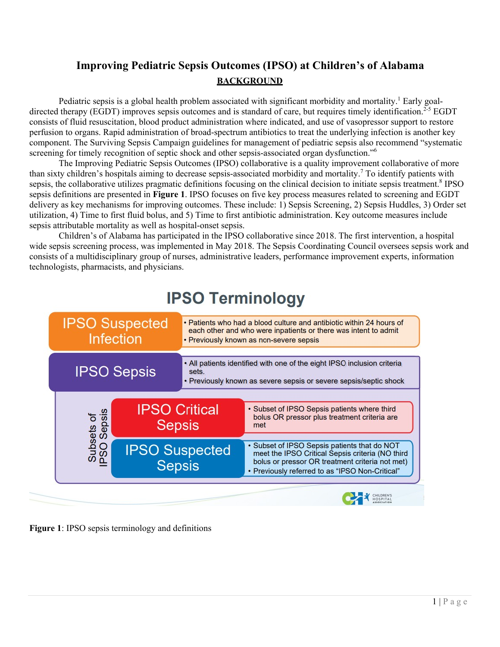## **Improving Pediatric Sepsis Outcomes (IPSO) at Children's of Alabama BACKGROUND**

Pediatric sepsis is a global health problem associated with significant morbidity and mortality.<sup>1</sup> Early goaldirected therapy (EGDT) improves sepsis outcomes and is standard of care, but requires timely identification.<sup>2-5</sup> EGDT consists of fluid resuscitation, blood product administration where indicated, and use of vasopressor support to restore perfusion to organs. Rapid administration of broad-spectrum antibiotics to treat the underlying infection is another key component. The Surviving Sepsis Campaign guidelines for management of pediatric sepsis also recommend "systematic screening for timely recognition of septic shock and other sepsis-associated organ dysfunction."<sup>6</sup>

The Improving Pediatric Sepsis Outcomes (IPSO) collaborative is a quality improvement collaborative of more than sixty children's hospitals aiming to decrease sepsis-associated morbidity and mortality.<sup>7</sup> To identify patients with sepsis, the collaborative utilizes pragmatic definitions focusing on the clinical decision to initiate sepsis treatment.<sup>8</sup> IPSO sepsis definitions are presented in **Figure 1**. IPSO focuses on five key process measures related to screening and EGDT delivery as key mechanisms for improving outcomes. These include: 1) Sepsis Screening, 2) Sepsis Huddles, 3) Order set utilization, 4) Time to first fluid bolus, and 5) Time to first antibiotic administration. Key outcome measures include sepsis attributable mortality as well as hospital-onset sepsis.

Children's of Alabama has participated in the IPSO collaborative since 2018. The first intervention, a hospital wide sepsis screening process, was implemented in May 2018. The Sepsis Coordinating Council oversees sepsis work and consists of a multidisciplinary group of nurses, administrative leaders, performance improvement experts, information technologists, pharmacists, and physicians.



# **IPSO Terminology**

**Figure 1**: IPSO sepsis terminology and definitions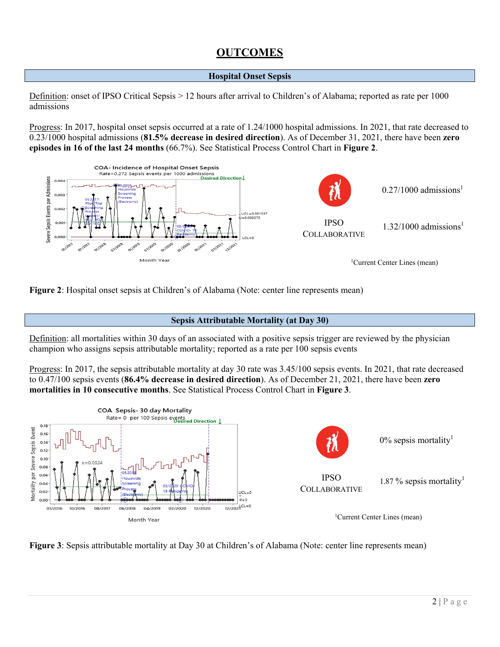### **OUTCOMES**

#### **Hospital Onset Sepsis**

Definition: onset of IPSO Critical Sepsis > 12 hours after arrival to Children's of Alabama; reported as rate per 1000 admissions

Progress: In 2017, hospital onset sepsis occurred at a rate of 1.24/1000 hospital admissions. In 2021, that rate decreased to 0.23/1000 hospital admissions (**81.5% decrease in desired direction**). As of December 31, 2021, there have been **zero episodes in 16 of the last 24 months** (66.7%). See Statistical Process Control Chart in **Figure 2**.



**Figure 2**: Hospital onset sepsis at Children's of Alabama (Note: center line represents mean)

#### **Sepsis Attributable Mortality (at Day 30)**

Definition: all mortalities within 30 days of an associated with a positive sepsis trigger are reviewed by the physician champion who assigns sepsis attributable mortality; reported as a rate per 100 sepsis events

Progress: In 2017, the sepsis attributable mortality at day 30 rate was 3.45/100 sepsis events. In 2021, that rate decreased to 0.47/100 sepsis events (**86.4% decrease in desired direction**). As of December 21, 2021, there have been **zero mortalities in 10 consecutive months**. See Statistical Process Control Chart in **Figure 3**.



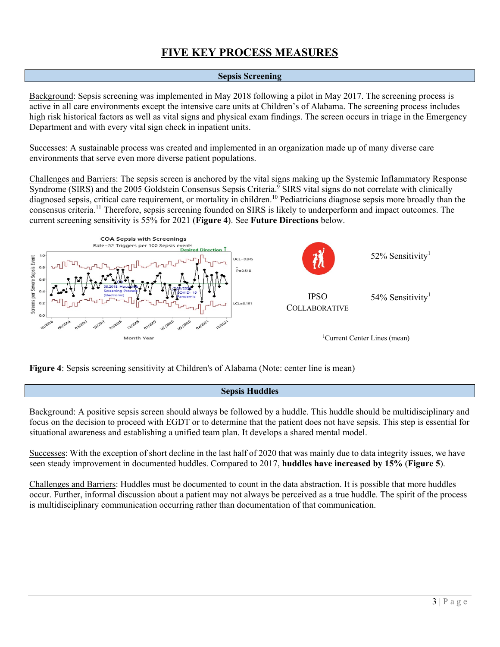### **FIVE KEY PROCESS MEASURES**

#### **Sepsis Screening**

Background: Sepsis screening was implemented in May 2018 following a pilot in May 2017. The screening process is active in all care environments except the intensive care units at Children's of Alabama. The screening process includes high risk historical factors as well as vital signs and physical exam findings. The screen occurs in triage in the Emergency Department and with every vital sign check in inpatient units.

Successes: A sustainable process was created and implemented in an organization made up of many diverse care environments that serve even more diverse patient populations.

Challenges and Barriers: The sepsis screen is anchored by the vital signs making up the Systemic Inflammatory Response Syndrome (SIRS) and the 2005 Goldstein Consensus Sepsis Criteria.<sup>9</sup> SIRS vital signs do not correlate with clinically diagnosed sepsis, critical care requirement, or mortality in children.<sup>10</sup> Pediatricians diagnose sepsis more broadly than the consensus criteria.11 Therefore, sepsis screening founded on SIRS is likely to underperform and impact outcomes. The current screening sensitivity is 55% for 2021 (**Figure 4**). See **Future Directions** below.



**Figure 4**: Sepsis screening sensitivity at Children's of Alabama (Note: center line is mean)

#### **Sepsis Huddles**

Background: A positive sepsis screen should always be followed by a huddle. This huddle should be multidisciplinary and focus on the decision to proceed with EGDT or to determine that the patient does not have sepsis. This step is essential for situational awareness and establishing a unified team plan. It develops a shared mental model.

Successes: With the exception of short decline in the last half of 2020 that was mainly due to data integrity issues, we have seen steady improvement in documented huddles. Compared to 2017, **huddles have increased by 15%** (**Figure 5**).

Challenges and Barriers: Huddles must be documented to count in the data abstraction. It is possible that more huddles occur. Further, informal discussion about a patient may not always be perceived as a true huddle. The spirit of the process is multidisciplinary communication occurring rather than documentation of that communication.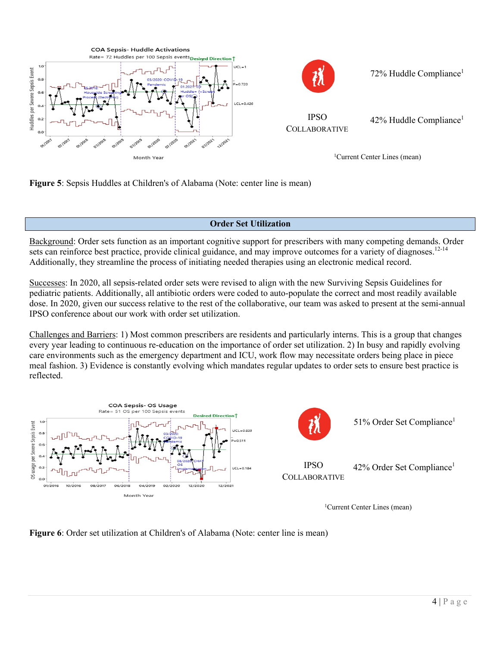

**Figure 5**: Sepsis Huddles at Children's of Alabama (Note: center line is mean)

### **Order Set Utilization**

Background: Order sets function as an important cognitive support for prescribers with many competing demands. Order sets can reinforce best practice, provide clinical guidance, and may improve outcomes for a variety of diagnoses.<sup>12-14</sup> Additionally, they streamline the process of initiating needed therapies using an electronic medical record.

Successes: In 2020, all sepsis-related order sets were revised to align with the new Surviving Sepsis Guidelines for pediatric patients. Additionally, all antibiotic orders were coded to auto-populate the correct and most readily available dose. In 2020, given our success relative to the rest of the collaborative, our team was asked to present at the semi-annual IPSO conference about our work with order set utilization.

Challenges and Barriers: 1) Most common prescribers are residents and particularly interns. This is a group that changes every year leading to continuous re-education on the importance of order set utilization. 2) In busy and rapidly evolving care environments such as the emergency department and ICU, work flow may necessitate orders being place in piece meal fashion. 3) Evidence is constantly evolving which mandates regular updates to order sets to ensure best practice is reflected.



1Current Center Lines (mean)

**Figure 6**: Order set utilization at Children's of Alabama (Note: center line is mean)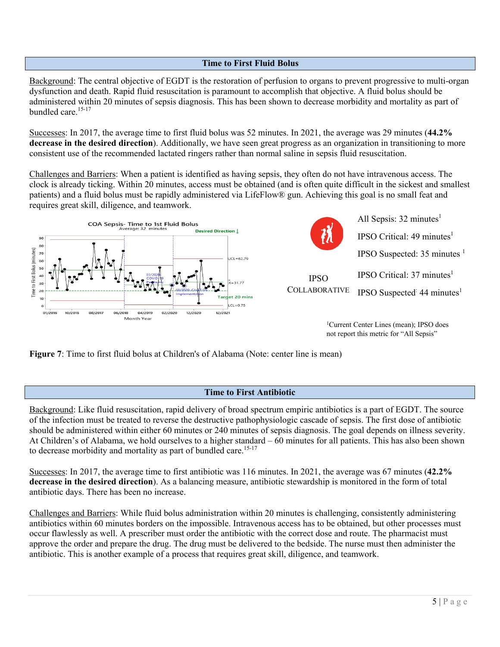#### **Time to First Fluid Bolus**

Background: The central objective of EGDT is the restoration of perfusion to organs to prevent progressive to multi-organ dysfunction and death. Rapid fluid resuscitation is paramount to accomplish that objective. A fluid bolus should be administered within 20 minutes of sepsis diagnosis. This has been shown to decrease morbidity and mortality as part of bundled care.<sup>15-17</sup>

Successes: In 2017, the average time to first fluid bolus was 52 minutes. In 2021, the average was 29 minutes (**44.2% decrease in the desired direction**). Additionally, we have seen great progress as an organization in transitioning to more consistent use of the recommended lactated ringers rather than normal saline in sepsis fluid resuscitation.

Challenges and Barriers: When a patient is identified as having sepsis, they often do not have intravenous access. The clock is already ticking. Within 20 minutes, access must be obtained (and is often quite difficult in the sickest and smallest patients) and a fluid bolus must be rapidly administered via LifeFlow® gun. Achieving this goal is no small feat and requires great skill, diligence, and teamwork.





<sup>1</sup>Current Center Lines (mean); IPSO does not report this metric for "All Sepsis"

**Figure 7**: Time to first fluid bolus at Children's of Alabama (Note: center line is mean)

#### **Time to First Antibiotic**

Background: Like fluid resuscitation, rapid delivery of broad spectrum empiric antibiotics is a part of EGDT. The source of the infection must be treated to reverse the destructive pathophysiologic cascade of sepsis. The first dose of antibiotic should be administered within either 60 minutes or 240 minutes of sepsis diagnosis. The goal depends on illness severity. At Children's of Alabama, we hold ourselves to a higher standard – 60 minutes for all patients. This has also been shown to decrease morbidity and mortality as part of bundled care.<sup>15-17</sup>

Successes: In 2017, the average time to first antibiotic was 116 minutes. In 2021, the average was 67 minutes (**42.2% decrease in the desired direction**). As a balancing measure, antibiotic stewardship is monitored in the form of total antibiotic days. There has been no increase.

Challenges and Barriers: While fluid bolus administration within 20 minutes is challenging, consistently administering antibiotics within 60 minutes borders on the impossible. Intravenous access has to be obtained, but other processes must occur flawlessly as well. A prescriber must order the antibiotic with the correct dose and route. The pharmacist must approve the order and prepare the drug. The drug must be delivered to the bedside. The nurse must then administer the antibiotic. This is another example of a process that requires great skill, diligence, and teamwork.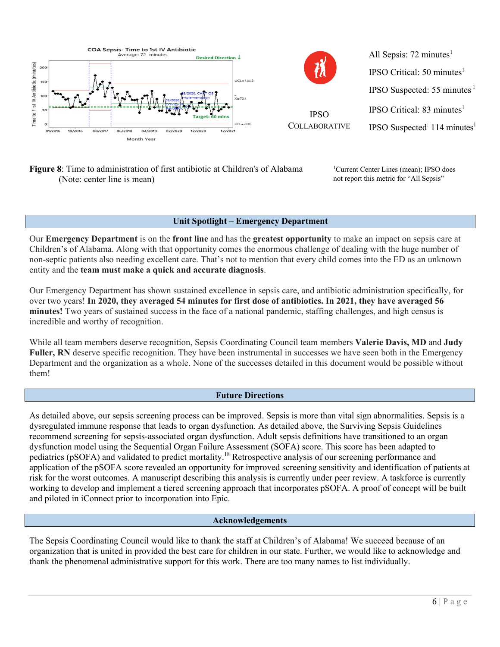

#### **Figure 8**: Time to administration of first antibiotic at Children's of Alabama (Note: center line is mean)

<sup>1</sup>Current Center Lines (mean); IPSO does not report this metric for "All Sepsis"

#### **Unit Spotlight – Emergency Department**

Our **Emergency Department** is on the **front line** and has the **greatest opportunity** to make an impact on sepsis care at Children's of Alabama. Along with that opportunity comes the enormous challenge of dealing with the huge number of non-septic patients also needing excellent care. That's not to mention that every child comes into the ED as an unknown entity and the **team must make a quick and accurate diagnosis**.

Our Emergency Department has shown sustained excellence in sepsis care, and antibiotic administration specifically, for over two years! **In 2020, they averaged 54 minutes for first dose of antibiotics. In 2021, they have averaged 56 minutes!** Two years of sustained success in the face of a national pandemic, staffing challenges, and high census is incredible and worthy of recognition.

While all team members deserve recognition, Sepsis Coordinating Council team members **Valerie Davis, MD** and **Judy Fuller, RN** deserve specific recognition. They have been instrumental in successes we have seen both in the Emergency Department and the organization as a whole. None of the successes detailed in this document would be possible without them!

#### **Future Directions**

As detailed above, our sepsis screening process can be improved. Sepsis is more than vital sign abnormalities. Sepsis is a dysregulated immune response that leads to organ dysfunction. As detailed above, the Surviving Sepsis Guidelines recommend screening for sepsis-associated organ dysfunction. Adult sepsis definitions have transitioned to an organ dysfunction model using the Sequential Organ Failure Assessment (SOFA) score. This score has been adapted to pediatrics (pSOFA) and validated to predict mortality.18 Retrospective analysis of our screening performance and application of the pSOFA score revealed an opportunity for improved screening sensitivity and identification of patients at risk for the worst outcomes. A manuscript describing this analysis is currently under peer review. A taskforce is currently working to develop and implement a tiered screening approach that incorporates pSOFA. A proof of concept will be built and piloted in iConnect prior to incorporation into Epic.

#### **Acknowledgements**

The Sepsis Coordinating Council would like to thank the staff at Children's of Alabama! We succeed because of an organization that is united in provided the best care for children in our state. Further, we would like to acknowledge and thank the phenomenal administrative support for this work. There are too many names to list individually.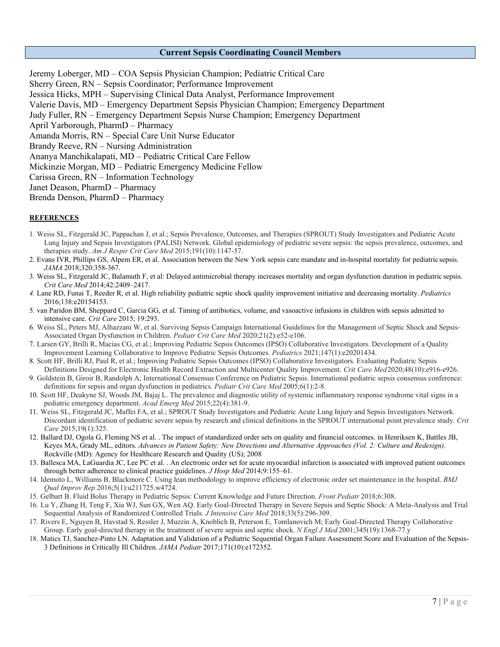#### **Current Sepsis Coordinating Council Members**

Jeremy Loberger, MD – COA Sepsis Physician Champion; Pediatric Critical Care Sherry Green, RN – Sepsis Coordinator; Performance Improvement Jessica Hicks, MPH – Supervising Clinical Data Analyst, Performance Improvement Valerie Davis, MD – Emergency Department Sepsis Physician Champion; Emergency Department Judy Fuller, RN – Emergency Department Sepsis Nurse Champion; Emergency Department April Yarborough, PharmD – Pharmacy Amanda Morris, RN – Special Care Unit Nurse Educator Brandy Reeve, RN – Nursing Administration Ananya Manchikalapati, MD – Pediatric Critical Care Fellow Mickinzie Morgan, MD – Pediatric Emergency Medicine Fellow Carissa Green, RN – Information Technology Janet Deason, PharmD – Pharmacy Brenda Denson, PharmD – Pharmacy

#### **REFERENCES**

- 1. Weiss SL, Fitzgerald JC, Pappachan J, et al.; Sepsis Prevalence, Outcomes, and Therapies (SPROUT) Study Investigators and Pediatric Acute Lung Injury and Sepsis Investigators (PALISI) Network. Global epidemiology of pediatric severe sepsis: the sepsis prevalence, outcomes, and therapies study. *Am J Respir Crit Care Med* 2015;191(10):1147-57.
- 2. Evans IVR, Phillips GS, Alpem ER, et al. Association between the New York sepsis care mandate and in-hospital mortality for pediatric sepsis. *JAMA* 2018;320:358-367.
- 3. Weiss SL, Fitzgerald JC, Balamuth F, et al: Delayed antimicrobial therapy increases mortality and organ dysfunction duration in pediatric sepsis. *Crit Care Med* 2014;42:2409–2417.
- *4.* Lane RD, Funai T, Reeder R, et al. High reliability pediatric septic shock quality improvement initiative and decreasing mortality. *Pediatrics* 2016;138:e20154153.
- 5. van Paridon BM, Sheppard C, Garcia GG, et al. Timing of antibiotics, volume, and vasoactive infusions in children with sepsis admitted to intensive care. *Crit Care* 2015; 19:293.
- 6. Weiss SL, Peters MJ, Alhazzani W, et al. Surviving Sepsis Campaign International Guidelines for the Management of Septic Shock and Sepsis-Associated Organ Dysfunction in Children. *Pediatr Crit Care Med* 2020;21(2):e52-e106.
- 7. Larsen GY, Brilli R, Macias CG, et al.; Improving Pediatric Sepsis Outcomes (IPSO) Collaborative Investigators. Development of a Quality Improvement Learning Collaborative to Improve Pediatric Sepsis Outcomes. *Pediatrics* 2021;147(1):e20201434.
- 8. Scott HF, Brilli RJ, Paul R, et al.; Improving Pediatric Sepsis Outcomes (IPSO) Collaborative Investigators. Evaluating Pediatric Sepsis Definitions Designed for Electronic Health Record Extraction and Multicenter Quality Improvement. *Crit Care Med*2020;48(10):e916-e926.
- 9. Goldstein B, Giroir B, Randolph A; International Consensus Conference on Pediatric Sepsis. International pediatric sepsis consensus conference: definitions for sepsis and organ dysfunction in pediatrics. *Pediatr Crit Care Med* 2005;6(1):2-8.
- 10. Scott HF, Deakyne SJ, Woods JM, Bajaj L. The prevalence and diagnostic utility of systemic inflammatory response syndrome vital signs in a pediatric emergency department. *Acad Emerg Med* 2015;22(4):381-9.
- 11. Weiss SL, Fitzgerald JC, Maffei FA, et al.; SPROUT Study Investigators and Pediatric Acute Lung Injury and Sepsis Investigators Network. Discordant identification of pediatric severe sepsis by research and clinical definitions in the SPROUT international point prevalence study. *Crit Care* 2015;19(1):325.
- 12. Ballard DJ, Ogola G, Fleming NS et al. . The impact of standardized order sets on quality and financial outcomes. in Henriksen K, Battles JB, Keyes MA, Grady ML, editors. *Advances in Patient Safety: New Directions and Alternative Approaches (Vol. 2: Culture and Redesign)*. Rockville (MD): Agency for Healthcare Research and Quality (US); 2008
- 13. Ballesca MA, LaGuardia JC, Lee PC et al. . An electronic order set for acute myocardial infarction is associated with improved patient outcomes through better adherence to clinical practice guidelines. *J Hosp Med* 2014;9:155–61.
- 14. Idemoto L, Williams B, Blackmore C. Using lean methodology to improve efficiency of electronic order set maintenance in the hospital. *BMJ Qual Improv Rep* 2016;5(1):u211725.w4724.
- 15. Gelbart B. Fluid Bolus Therapy in Pediatric Sepsis: Current Knowledge and Future Direction. *Front Pediatr* 2018;6:308.
- 16. Lu Y, Zhang H, Teng F, Xia WJ, Sun GX, Wen AQ. Early Goal-Directed Therapy in Severe Sepsis and Septic Shock: A Meta-Analysis and Trial Sequential Analysis of Randomized Controlled Trials. *J Intensive Care Med* 2018;33(5):296-309.
- 17. Rivers E, Nguyen B, Havstad S, Ressler J, Muzzin A, Knoblich B, Peterson E, Tomlanovich M; Early Goal-Directed Therapy Collaborative Group. Early goal-directed therapy in the treatment of severe sepsis and septic shock. *N Engl J Med* 2001;345(19):1368-77.y
- 18. Matics TJ, Sanchez-Pinto LN. Adaptation and Validation of a Pediatric Sequential Organ Failure Assessment Score and Evaluation of the Sepsis-3 Definitions in Critically Ill Children. *JAMA Pediatr* 2017;171(10):e172352.